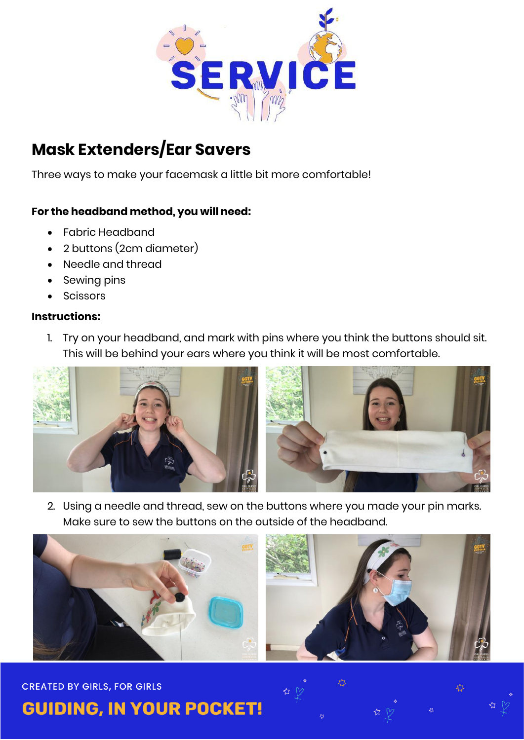

# **Mask Extenders/Ear Savers**

Three ways to make your facemask a little bit more comfortable!

# **For the headband method, you will need:**

- Fabric Headband
- 2 buttons (2cm diameter)
- Needle and thread
- Sewing pins
- Scissors

#### **Instructions:**

1. Try on your headband, and mark with pins where you think the buttons should sit. This will be behind your ears where you think it will be most comfortable.



2. Using a needle and thread, sew on the buttons where you made your pin marks. Make sure to sew the buttons on the outside of the headband.



#### **CREATED BY GIRLS, FOR GIRLS**

**GUIDING, IN YOUR POCKET!** 

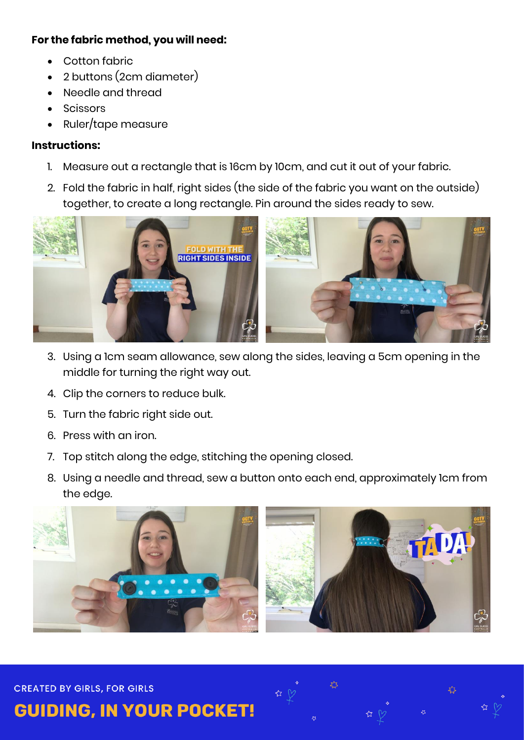#### **For the fabric method, you will need:**

- Cotton fabric
- 2 buttons (2cm diameter)
- Needle and thread
- Scissors
- Ruler/tape measure

## **Instructions:**

- 1. Measure out a rectangle that is 16cm by 10cm, and cut it out of your fabric.
- 2. Fold the fabric in half, right sides (the side of the fabric you want on the outside) together, to create a long rectangle. Pin around the sides ready to sew.



- 3. Using a 1cm seam allowance, sew along the sides, leaving a 5cm opening in the middle for turning the right way out.
- 4. Clip the corners to reduce bulk.
- 5. Turn the fabric right side out.
- 6. Press with an iron.
- 7. Top stitch along the edge, stitching the opening closed.
- 8. Using a needle and thread, sew a button onto each end, approximately 1cm from the edge.



**CREATED BY GIRLS, FOR GIRLS** 

**GUIDING, IN YOUR POCKET!**